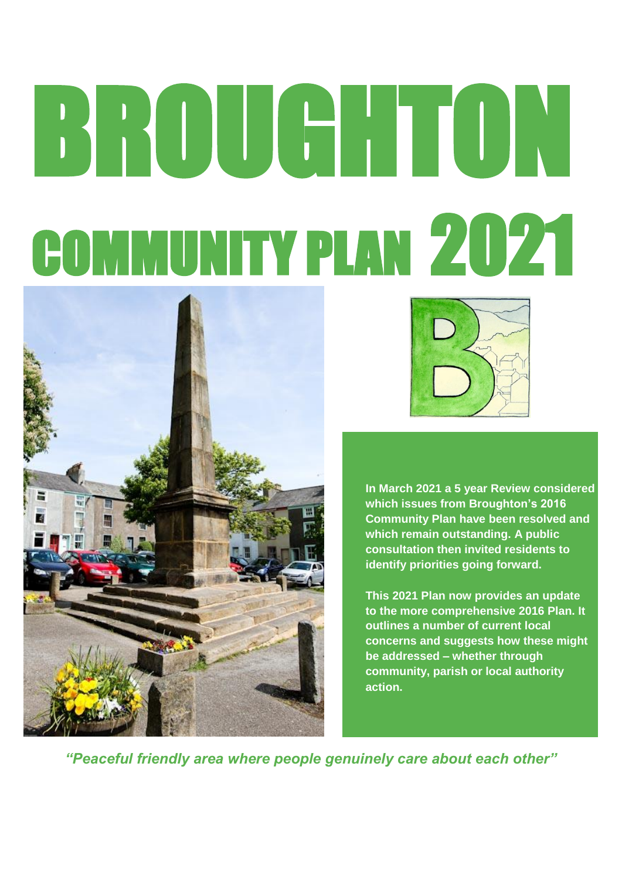# BROUGHTON COMMUNITY PLAN 2021





**In March 2021 a 5 year Review considered which issues from Broughton's 2016 Community Plan have been resolved and which remain outstanding. A public consultation then invited residents to identify priorities going forward.**

**This 2021 Plan now provides an update to the more comprehensive 2016 Plan. It outlines a number of current local concerns and suggests how these might be addressed – whether through community, parish or local authority action.**

*"Peaceful friendly area where people genuinely care about each other"*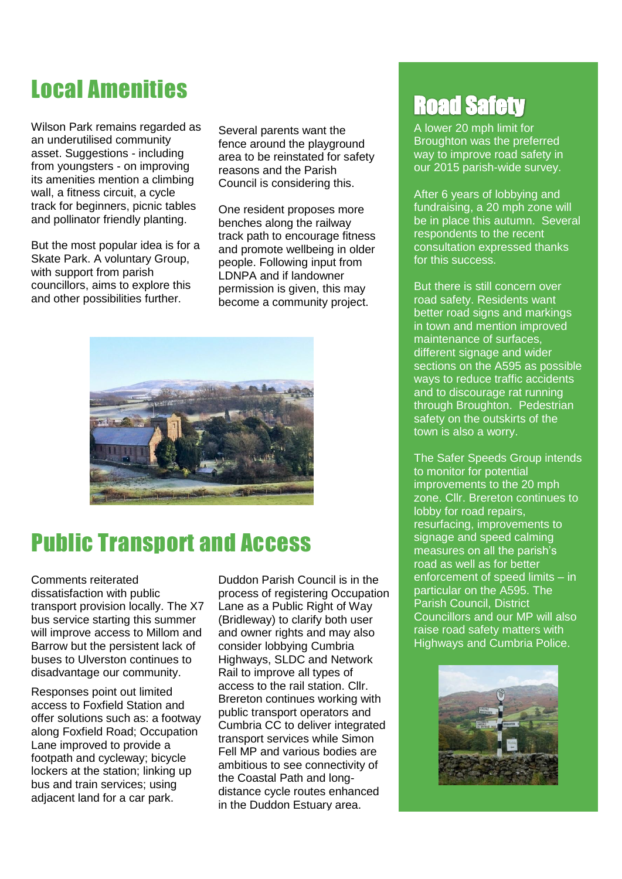# Local Amenities

Wilson Park remains regarded as an underutilised community asset. Suggestions - including from youngsters - on improving its amenities mention a climbing wall, a fitness circuit, a cycle track for beginners, picnic tables and pollinator friendly planting.

But the most popular idea is for a Skate Park. A voluntary Group, with support from parish councillors, aims to explore this and other possibilities further.

Several parents want the fence around the playground area to be reinstated for safety reasons and the Parish Council is considering this.

One resident proposes more benches along the railway track path to encourage fitness and promote wellbeing in older people. Following input from LDNPA and if landowner permission is given, this may become a community project.



# Public Transport and Access

Comments reiterated dissatisfaction with public transport provision locally. The X7 bus service starting this summer will improve access to Millom and Barrow but the persistent lack of buses to Ulverston continues to disadvantage our community.

Responses point out limited access to Foxfield Station and offer solutions such as: a footway along Foxfield Road; Occupation Lane improved to provide a footpath and cycleway; bicycle lockers at the station; linking up bus and train services; using adjacent land for a car park.

Duddon Parish Council is in the process of registering Occupation Lane as a Public Right of Way (Bridleway) to clarify both user and owner rights and may also consider lobbying Cumbria Highways, SLDC and Network Rail to improve all types of access to the rail station. Cllr. Brereton continues working with public transport operators and Cumbria CC to deliver integrated transport services while Simon Fell MP and various bodies are ambitious to see connectivity of the Coastal Path and longdistance cycle routes enhanced in the Duddon Estuary area.

# **Road Safety**

A lower 20 mph limit for Broughton was the preferred way to improve road safety in our 2015 parish-wide survey.

After 6 years of lobbying and fundraising, a 20 mph zone will be in place this autumn. Several respondents to the recent consultation expressed thanks for this success.

But there is still concern over road safety. Residents want better road signs and markings in town and mention improved maintenance of surfaces, different signage and wider sections on the A595 as possible ways to reduce traffic accidents and to discourage rat running through Broughton. Pedestrian safety on the outskirts of the town is also a worry.

The Safer Speeds Group intends to monitor for potential improvements to the 20 mph zone. Cllr. Brereton continues to lobby for road repairs, resurfacing, improvements to signage and speed calming measures on all the parish's road as well as for better enforcement of speed limits – in particular on the A595. The Parish Council, District Councillors and our MP will also raise road safety matters with Highways and Cumbria Police.

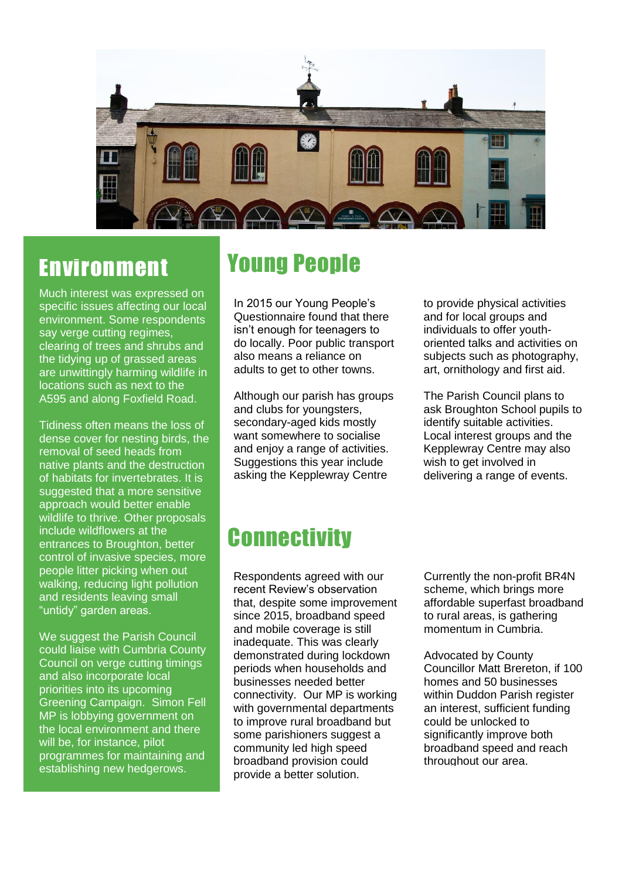

#### Environment

Much interest was expressed on specific issues affecting our local environment. Some respondents say verge cutting regimes, clearing of trees and shrubs and the tidying up of grassed areas are unwittingly harming wildlife in locations such as next to the A595 and along Foxfield Road.

Tidiness often means the loss of dense cover for nesting birds, the removal of seed heads from native plants and the destruction of habitats for invertebrates. It is suggested that a more sensitive approach would better enable wildlife to thrive. Other proposals include wildflowers at the entrances to Broughton, better control of invasive species, more people litter picking when out walking, reducing light pollution and residents leaving small "untidy" garden areas.

We suggest the Parish Council could liaise with Cumbria County Council on verge cutting timings and also incorporate local priorities into its upcoming Greening Campaign. Simon Fell MP is lobbying government on the local environment and there will be, for instance, pilot programmes for maintaining and establishing new hedgerows.

### Young People

In 2015 our Young People's Questionnaire found that there isn't enough for teenagers to do locally. Poor public transport also means a reliance on adults to get to other towns.

Although our parish has groups and clubs for youngsters, secondary-aged kids mostly want somewhere to socialise and enjoy a range of activities. Suggestions this year include asking the Kepplewray Centre

to provide physical activities and for local groups and individuals to offer youthoriented talks and activities on subjects such as photography, art, ornithology and first aid.

The Parish Council plans to ask Broughton School pupils to identify suitable activities. Local interest groups and the Kepplewray Centre may also wish to get involved in delivering a range of events.

#### **Connectivity**

Respondents agreed with our recent Review's observation that, despite some improvement since 2015, broadband speed and mobile coverage is still inadequate. This was clearly demonstrated during lockdown periods when households and businesses needed better connectivity. Our MP is working with governmental departments to improve rural broadband but some parishioners suggest a community led high speed broadband provision could provide a better solution.

Currently the non-profit BR4N scheme, which brings more affordable superfast broadband to rural areas, is gathering momentum in Cumbria.

Advocated by County Councillor Matt Brereton, if 100 homes and 50 businesses within Duddon Parish register an interest, sufficient funding could be unlocked to significantly improve both broadband speed and reach throughout our area.